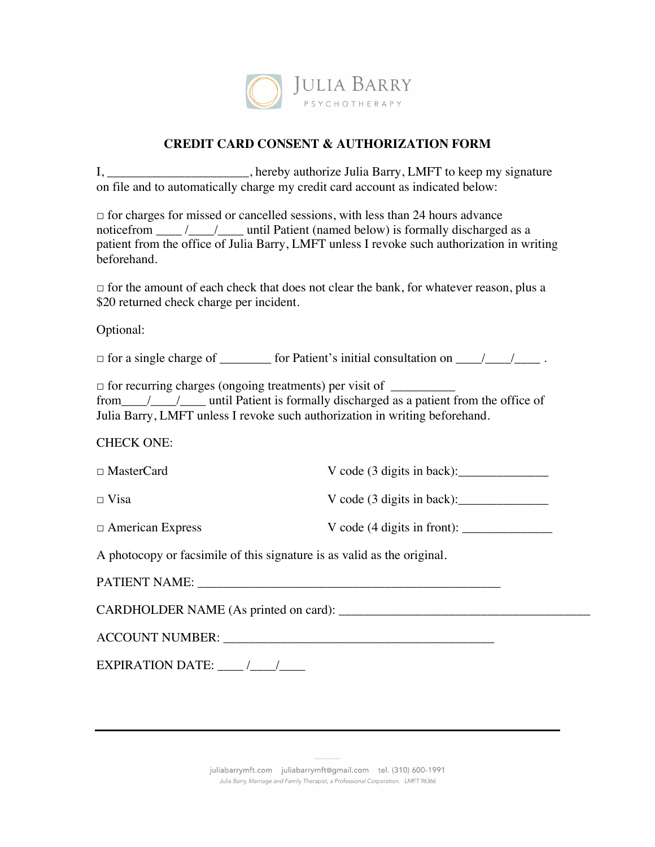

## **CREDIT CARD CONSENT & AUTHORIZATION FORM**

I, \_\_\_\_\_\_\_\_\_\_\_\_\_\_\_\_\_\_\_, hereby authorize Julia Barry, LMFT to keep my signature on file and to automatically charge my credit card account as indicated below:

 $\Box$  for charges for missed or cancelled sessions, with less than 24 hours advance noticefrom  $\frac{1}{\sqrt{2}}$  /  $\frac{1}{\sqrt{2}}$  until Patient (named below) is formally discharged as a patient from the office of Julia Barry, LMFT unless I revoke such authorization in writing beforehand.

 $\Box$  for the amount of each check that does not clear the bank, for whatever reason, plus a \$20 returned check charge per incident.

Optional:

□ for a single charge of \_\_\_\_\_\_\_\_ for Patient's initial consultation on \_\_\_\_/\_\_\_\_/\_\_\_\_ .

 $\Box$  for recurring charges (ongoing treatments) per visit of  $\Box$ from\_\_\_\_/\_\_\_\_/\_\_\_\_ until Patient is formally discharged as a patient from the office of Julia Barry, LMFT unless I revoke such authorization in writing beforehand.

## CHECK ONE:

| $\Box$ MasterCard                                                       | V code $(3 \text{ digits in back})$ :  |
|-------------------------------------------------------------------------|----------------------------------------|
| $\Box$ Visa                                                             | V code $(3 \text{ digits in back})$ :  |
| $\Box$ American Express                                                 | V code $(4 \text{ digits in front})$ : |
| A photocopy or facsimile of this signature is as valid as the original. |                                        |

A photocopy or facsimile of this signature is as valid as the original.

CARDHOLDER NAME (As printed on card): \_\_\_\_\_\_\_\_\_\_\_\_\_\_\_\_\_\_\_\_\_\_\_\_\_\_\_\_\_\_\_\_\_\_\_\_\_\_\_

| <b>ACCOUNT NUMBER:</b> |  |
|------------------------|--|
|                        |  |

EXPIRATION DATE:  $\qquad$  /  $\qquad$  /